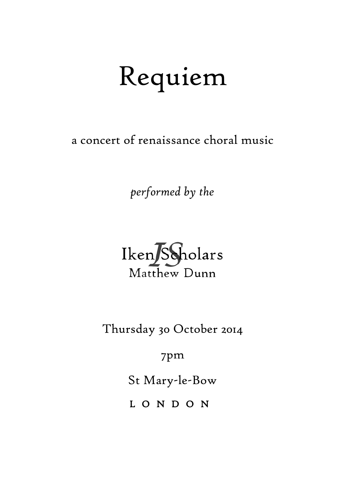# Requiem

a concert of renaissance choral music

*performed by the*



Thursday 30 October 2014

7pm

St Mary-le-Bow

L O N D O N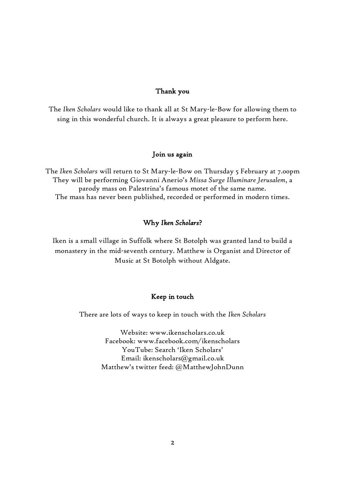#### Thank you

The *Iken Scholars* would like to thank all at St Mary-le-Bow for allowing them to sing in this wonderful church. It is always a great pleasure to perform here.

#### Join us again

The *Iken Scholars* will return to St Mary-le-Bow on Thursday 5 February at 7.00pm They will be performing Giovanni Anerio's *Missa Surge Illuminare Jerusalem*, a parody mass on Palestrina's famous motet of the same name. The mass has never been published, recorded or performed in modern times.

#### Why *Iken Scholars*?

Iken is a small village in Suffolk where St Botolph was granted land to build a monastery in the mid-seventh century. Matthew is Organist and Director of Music at St Botolph without Aldgate.

#### Keep in touch

There are lots of ways to keep in touch with the *Iken Scholars*

Website: www.ikenscholars.co.uk Facebook: www.facebook.com/ikenscholars YouTube: Search 'Iken Scholars' Email: ikenscholars@gmail.co.uk Matthew's twitter feed: @MatthewJohnDunn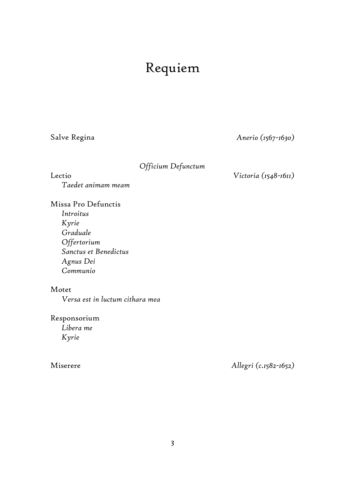## Requiem

Salve Regina *Anerio (1567-1630)*

### *Officium Defunctum*

Lectio

*Taedet animam meam*

#### *Victoria (1548-1611)*

Missa Pro Defunctis *Introitus Kyrie Graduale Offertorium Sanctus et Benedictus Agnus Dei Communio*

### Motet

*Versa est in luctum cithara mea*

Responsorium *Libera me Kyrie*

### Miserere

*Allegri (c.1582-1652)*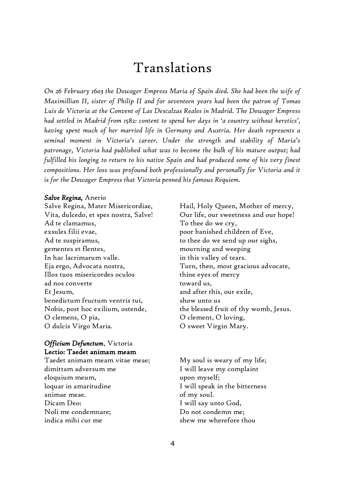## Translations

*On 26 February 1603 the Dowager Empress Maria of Spain died. She had been the wife of Maximillian II, sister of Philip II and for seventeen years had been the patron of Tomas Luis de Victoria at the Convent of Las Descalzas Reales in Madrid. The Dowager Empress had settled in Madrid from 1582: content to spend her days in 'a country without heretics', having spent much of her married life in Germany and Austria. Her death represents a seminal moment in Victoria's career. Under the strength and stability of Maria's patronage, Victoria had published what was to become the bulk of his mature output; had fulfilled his longing to return to his native Spain and had produced some of his very finest compositions. Her loss was profound both professionally and personally for Victoria and it is for the Dowager Empress that Victoria penned his famous Requiem.*

#### *Salve Regina,* Anerio

Salve Regina, Mater Misericordiae, Vita, dulcedo, et spes nostra, Salve! Ad te clamamus, exsules filii evae, Ad te suspiramus, gementes et flentes, In hac lacrimarum valle. Eja ergo, Advocata nostra, Illos tuos misericordes oculos ad nos converte Et Jesum, benedictum fructum ventris tui, Nobis, post hoc exilium, ostende, O clemens, O pia, O dulcis Virgo Maria.

#### *Officium Defunctum*, Victoria Lectio: Taedet animam meam

Taedet animam meam vitae meae; dimittam adversum me eloquium meum, loquar in amaritudine animae meae. Dicam Deo: Noli me condemnare; indica mihi cur me

Hail, Holy Queen, Mother of mercy, Our life, our sweetness and our hope! To thee do we cry, poor banished children of Eve, to thee do we send up our sighs, mourning and weeping in this valley of tears. Turn, then, most gracious advocate, thine eyes of mercy toward us, and after this, our exile, show unto us the blessed fruit of thy womb, Jesus. O clement, O loving, O sweet Virgin Mary.

My soul is weary of my life; I will leave my complaint upon myself; I will speak in the bitterness of my soul. I will say unto God, Do not condemn me; shew me wherefore thou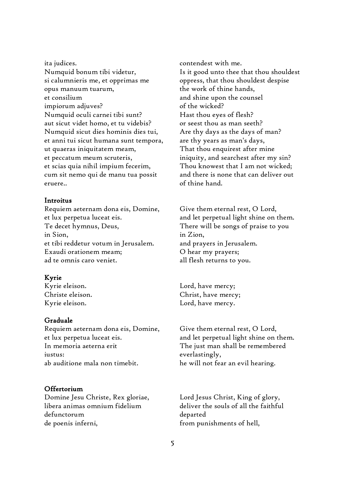ita judices. Numquid bonum tibi videtur, si calumnieris me, et opprimas me opus manuum tuarum, et consilium impiorum adjuves? Numquid oculi carnei tibi sunt? aut sicut videt homo, et tu videbis? Numquid sicut dies hominis dies tui, et anni tui sicut humana sunt tempora, ut quaeras iniquitatem meam, et peccatum meum scruteris, et scias quia nihil impium fecerim, cum sit nemo qui de manu tua possit eruere..

#### Introitus

Requiem aeternam dona eis, Domine, et lux perpetua luceat eis. Te decet hymnus, Deus, in Sion, et tibi reddetur votum in Jerusalem. Exaudi orationem meam; ad te omnis caro veniet.

#### Kyrie

Kyrie eleison. Christe eleison. Kyrie eleison.

#### Graduale

Requiem aeternam dona eis, Domine, et lux perpetua luceat eis. In memoria aeterna erit iustus: ab auditione mala non timebit.

#### **Offertorium**

Domine Jesu Christe, Rex gloriae, libera animas omnium fidelium defunctorum de poenis inferni,

contendest with me. Is it good unto thee that thou shouldest oppress, that thou shouldest despise the work of thine hands, and shine upon the counsel of the wicked? Hast thou eyes of flesh? or seest thou as man seeth? Are thy days as the days of man? are thy years as man's days, That thou enquirest after mine iniquity, and searchest after my sin? Thou knowest that I am not wicked; and there is none that can deliver out of thine hand.

Give them eternal rest, O Lord, and let perpetual light shine on them. There will be songs of praise to you in Zion, and prayers in Jerusalem. O hear my prayers; all flesh returns to you.

Lord, have mercy; Christ, have mercy; Lord, have mercy.

Give them eternal rest, O Lord, and let perpetual light shine on them. The just man shall be remembered everlastingly, he will not fear an evil hearing.

Lord Jesus Christ, King of glory, deliver the souls of all the faithful departed from punishments of hell,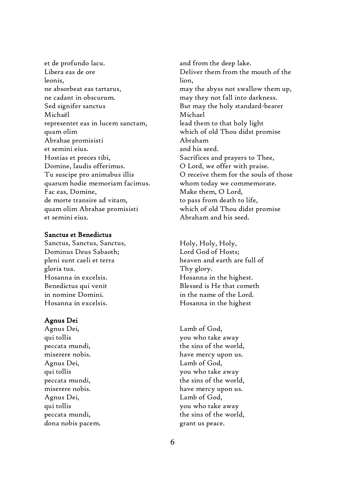et de profundo lacu. Libera eas de ore leonis, ne absorbeat eas tartarus, ne cadant in obscurum. Sed signifer sanctus Michaël representet eas in lucem sanctam, quam olim Abrahae promisisti et semini eius. Hostias et preces tibi, Domine, laudis offerimus. Tu suscipe pro animabus illis quarum hodie memoriam facimus. Fac eas, Domine, de morte transire ad vitam, quam olim Abrahae promisisti et semini eius.

#### Sanctus et Benedictus

Sanctus, Sanctus, Sanctus, Dominus Deus Sabaoth; pleni sunt caeli et terra gloria tua. Hosanna in excelsis. Benedictus qui venit in nomine Domini. Hosanna in excelsis.

#### Agnus Dei

Agnus Dei, qui tollis peccata mundi, miserere nobis. Agnus Dei, qui tollis peccata mundi, miserere nobis. Agnus Dei, qui tollis peccata mundi, dona nobis pacem. and from the deep lake. Deliver them from the mouth of the lion, may the abyss not swallow them up, may they not fall into darkness. But may the holy standard-bearer Michael lead them to that holy light which of old Thou didst promise Abraham and his seed. Sacrifices and prayers to Thee, O Lord, we offer with praise. O receive them for the souls of those whom today we commemorate. Make them, O Lord, to pass from death to life, which of old Thou didst promise Abraham and his seed.

Holy, Holy, Holy, Lord God of Hosts; heaven and earth are full of Thy glory. Hosanna in the highest. Blessed is He that cometh in the name of the Lord. Hosanna in the highest

Lamb of God, you who take away the sins of the world, have mercy upon us. Lamb of God, you who take away the sins of the world, have mercy upon us. Lamb of God, you who take away the sins of the world, grant us peace.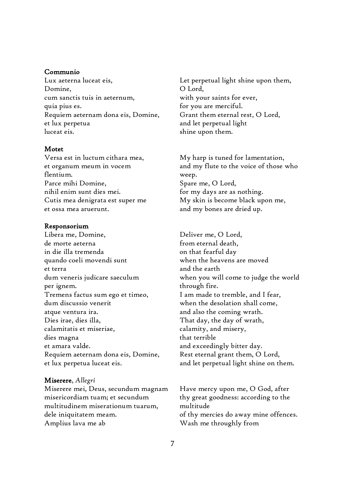#### Communio

Lux aeterna luceat eis, Domine, cum sanctis tuis in aeternum, quia pius es. Requiem aeternam dona eis, Domine, et lux perpetua luceat eis.

#### Motet

Versa est in luctum cithara mea, et organum meum in vocem flentium. Parce mihi Domine, nihil enim sunt dies mei. Cutis mea denigrata est super me et ossa mea aruerunt.

#### Responsorium

Libera me, Domine, de morte aeterna in die illa tremenda quando coeli movendi sunt et terra dum veneris judicare saeculum per ignem. Tremens factus sum ego et timeo, dum discussio venerit atque ventura ira. Dies irae, dies illa, calamitatis et miseriae, dies magna et amara valde. Requiem aeternam dona eis, Domine, et lux perpetua luceat eis.

#### Miserere, *Allegri*

Miserere mei, Deus, secundum magnam misericordiam tuam; et secundum multitudinem miserationum tuarum, dele iniquitatem meam. Amplius lava me ab

Let perpetual light shine upon them, O Lord, with your saints for ever, for you are merciful. Grant them eternal rest, O Lord, and let perpetual light shine upon them.

My harp is tuned for lamentation, and my flute to the voice of those who weep. Spare me, O Lord, for my days are as nothing. My skin is become black upon me, and my bones are dried up.

Deliver me, O Lord, from eternal death, on that fearful day when the heavens are moved and the earth when you will come to judge the world through fire. I am made to tremble, and I fear, when the desolation shall come, and also the coming wrath. That day, the day of wrath, calamity, and misery, that terrible and exceedingly bitter day. Rest eternal grant them, O Lord, and let perpetual light shine on them.

Have mercy upon me, O God, after thy great goodness: according to the multitude of thy mercies do away mine offences. Wash me throughly from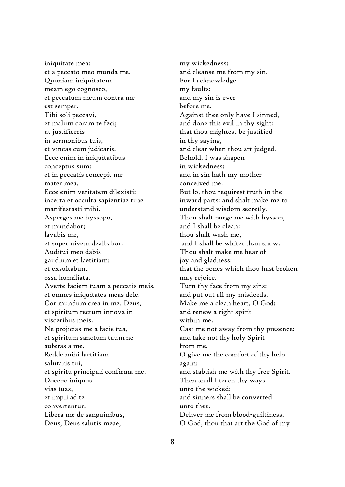iniquitate mea: et a peccato meo munda me. Quoniam iniquitatem meam ego cognosco, et peccatum meum contra me est semper. Tibi soli peccavi, et malum coram te feci; ut justificeris in sermonibus tuis, et vincas cum judicaris. Ecce enim in iniquitatibus conceptus sum: et in peccatis concepit me mater mea. Ecce enim veritatem dilexisti; incerta et occulta sapientiae tuae manifestasti mihi. Asperges me hyssopo, et mundabor; lavabis me, et super nivem dealbabor. Auditui meo dabis gaudium et laetitiam: et exsultabunt ossa humiliata. Averte faciem tuam a peccatis meis, et omnes iniquitates meas dele. Cor mundum crea in me, Deus, et spiritum rectum innova in visceribus meis. Ne projicias me a facie tua, et spiritum sanctum tuum ne auferas a me. Redde mihi laetitiam salutaris tui, et spiritu principali confirma me. Docebo iniquos vias tuas, et impii ad te convertentur. Libera me de sanguinibus, Deus, Deus salutis meae,

my wickedness: and cleanse me from my sin. For I acknowledge my faults: and my sin is ever before me. Against thee only have I sinned, and done this evil in thy sight: that thou mightest be justified in thy saying, and clear when thou art judged. Behold, I was shapen in wickedness: and in sin hath my mother conceived me. But lo, thou requirest truth in the inward parts: and shalt make me to understand wisdom secretly. Thou shalt purge me with hyssop, and I shall be clean: thou shalt wash me, and I shall be whiter than snow. Thou shalt make me hear of joy and gladness: that the bones which thou hast broken may rejoice. Turn thy face from my sins: and put out all my misdeeds. Make me a clean heart, O God: and renew a right spirit within me. Cast me not away from thy presence: and take not thy holy Spirit from me. O give me the comfort of thy help again: and stablish me with thy free Spirit. Then shall I teach thy ways unto the wicked: and sinners shall be converted unto thee. Deliver me from blood-guiltiness, O God, thou that art the God of my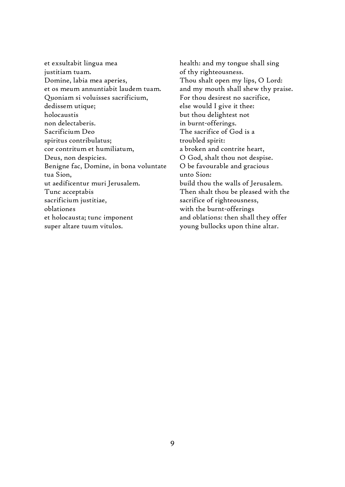et exsultabit lingua mea justitiam tuam. Domine, labia mea aperies, et os meum annuntiabit laudem tuam. Quoniam si voluisses sacrificium, dedissem utique; holocaustis non delectaberis. Sacrificium Deo spiritus contribulatus; cor contritum et humiliatum, Deus, non despicies. Benigne fac, Domine, in bona voluntate tua Sion, ut aedificentur muri Jerusalem. Tunc acceptabis sacrificium justitiae, oblationes et holocausta; tunc imponent super altare tuum vitulos.

health: and my tongue shall sing of thy righteousness. Thou shalt open my lips, O Lord: and my mouth shall shew thy praise. For thou desirest no sacrifice, else would I give it thee: but thou delightest not in burnt-offerings. The sacrifice of God is a troubled spirit: a broken and contrite heart, O God, shalt thou not despise. O be favourable and gracious unto Sion: build thou the walls of Jerusalem. Then shalt thou be pleased with the sacrifice of righteousness, with the burnt-offerings and oblations: then shall they offer young bullocks upon thine altar.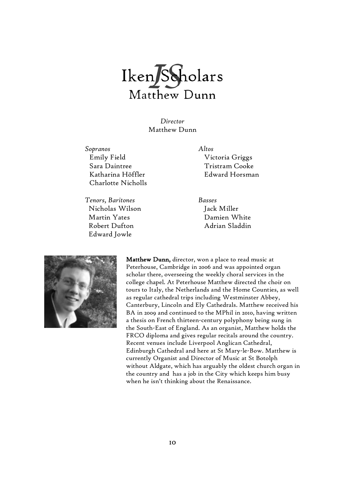

*Director* Matthew Dunn

*Sopranos Altos* Emily Field Sara Daintree Katharina Höffler Charlotte Nicholls

*Tenors, Baritones Basses* Nicholas Wilson Martin Yates Robert Dufton Edward Jowle

Victoria Griggs Tristram Cooke Edward Horsman

Jack Miller Damien White Adrian Sladdin



Matthew Dunn, director, won a place to read music at Peterhouse, Cambridge in 2006 and was appointed organ scholar there, overseeing the weekly choral services in the college chapel. At Peterhouse Matthew directed the choir on tours to Italy, the Netherlands and the Home Counties, as well as regular cathedral trips including Westminster Abbey, Canterbury, Lincoln and Ely Cathedrals. Matthew received his BA in 2009 and continued to the MPhil in 2010, having written a thesis on French thirteen-century polyphony being sung in the South-East of England. As an organist, Matthew holds the FRCO diploma and gives regular recitals around the country. Recent venues include Liverpool Anglican Cathedral, Edinburgh Cathedral and here at St Mary-le-Bow. Matthew is currently Organist and Director of Music at St Botolph without Aldgate, which has arguably the oldest church organ in the country and has a job in the City which keeps him busy when he isn't thinking about the Renaissance.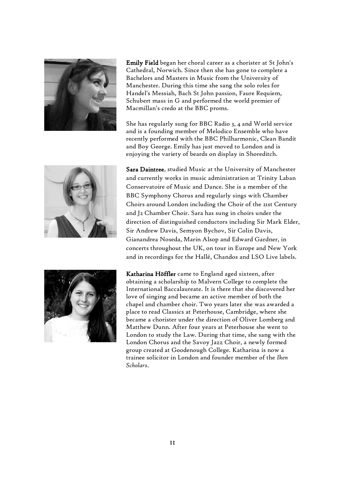

Emily Field began her choral career as a chorister at St John's Cathedral, Norwich. Since then she has gone to complete a Bachelors and Masters in Music from the University of Manchester. During this time she sang the solo roles for Handel's Messiah, Bach St John passion, Faure Requiem, Schubert mass in G and performed the world premier of Macmillan's credo at the BBC proms.

She has regularly sung for BBC Radio 3, 4 and World service and is a founding member of Melodico Ensemble who have recently performed with the BBC Philharmonic, Clean Bandit and Boy George. Emily has just moved to London and is enjoying the variety of beards on display in Shoreditch.

Sara Daintree, studied Music at the University of Manchester and currently works in music administration at Trinity Laban Conservatoire of Music and Dance. She is a member of the



BBC Symphony Chorus and regularly sings with Chamber Choirs around London including the Choir of the 21st Century and J2 Chamber Choir. Sara has sung in choirs under the direction of distinguished conductors including Sir Mark Elder, Sir Andrew Davis, Semyon Bychov, Sir Colin Davis, Gianandrea Noseda, Marin Alsop and Edward Gardner, in concerts throughout the UK, on tour in Europe and New York and in recordings for the Hallé, Chandos and LSO Live labels.



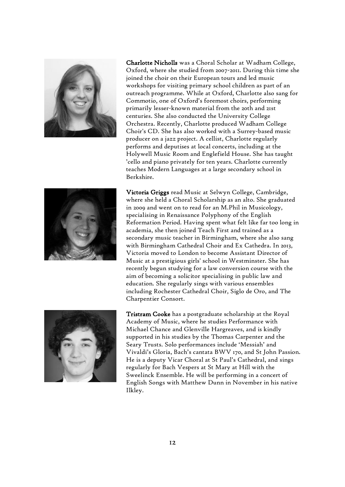

Charlotte Nicholls was a Choral Scholar at Wadham College, Oxford, where she studied from 2007-2011. During this time she joined the choir on their European tours and led music workshops for visiting primary school children as part of an outreach programme. While at Oxford, Charlotte also sang for Commotio, one of Oxford's foremost choirs, performing primarily lesser-known material from the 20th and 21st centuries. She also conducted the University College Orchestra. Recently, Charlotte produced Wadham College Choir's CD. She has also worked with a Surrey-based music producer on a jazz project. A cellist, Charlotte regularly performs and deputises at local concerts, including at the Holywell Music Room and Englefield House. She has taught 'cello and piano privately for ten years. Charlotte currently teaches Modern Languages at a large secondary school in Berkshire.



Victoria Griggs read Music at Selwyn College, Cambridge, where she held a Choral Scholarship as an alto. She graduated in 2009 and went on to read for an M.Phil in Musicology, specialising in Renaissance Polyphony of the English Reformation Period. Having spent what felt like far too long in academia, she then joined Teach First and trained as a secondary music teacher in Birmingham, where she also sang with Birmingham Cathedral Choir and Ex Cathedra. In 2013, Victoria moved to London to become Assistant Director of Music at a prestigious girls' school in Westminster. She has recently begun studying for a law conversion course with the aim of becoming a solicitor specialising in public law and education. She regularly sings with various ensembles including Rochester Cathedral Choir, Siglo de Oro, and The Charpentier Consort.



Tristram Cooke has a postgraduate scholarship at the Royal Academy of Music, where he studies Performance with Michael Chance and Glenville Hargreaves, and is kindly supported in his studies by the Thomas Carpenter and the Seary Trusts. Solo performances include 'Messiah' and Vivaldi's Gloria, Bach's cantata BWV 170, and St John Passion. He is a deputy Vicar Choral at St Paul's Cathedral, and sings regularly for Bach Vespers at St Mary at Hill with the Sweelinck Ensemble. He will be performing in a concert of English Songs with Matthew Dunn in November in his native Ilkley.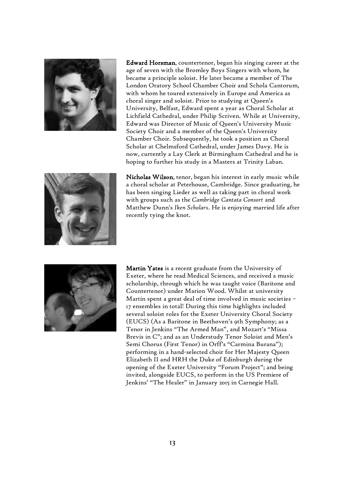

Edward Horsman, countertenor, began his singing career at the age of seven with the Bromley Boys Singers with whom, he became a principle soloist. He later became a member of The London Oratory School Chamber Choir and Schola Cantorum, with whom he toured extensively in Europe and America as choral singer and soloist. Prior to studying at Queen's University, Belfast, Edward spent a year as Choral Scholar at Lichfield Cathedral, under Philip Scriven. While at University, Edward was Director of Music of Queen's University Music Society Choir and a member of the Queen's University Chamber Choir. Subsequently, he took a position as Choral Scholar at Chelmsford Cathedral, under James Davy. He is now, currently a Lay Clerk at Birmingham Cathedral and he is hoping to further his study in a Masters at Trinity Laban.



Nicholas Wilson, tenor, began his interest in early music while a choral scholar at Peterhouse, Cambridge. Since graduating, he has been singing Lieder as well as taking part in choral work with groups such as the *Cambridge Cantata Consort* and Matthew Dunn's *Iken Scholars*. He is enjoying married life after recently tying the knot.



Martin Yates is a recent graduate from the University of Exeter, where he read Medical Sciences, and received a music scholarship, through which he was taught voice (Baritone and Countertenor) under Marion Wood. Whilst at university Martin spent a great deal of time involved in music societies – 17 ensembles in total! During this time highlights included several soloist roles for the Exeter University Choral Society (EUCS) (As a Baritone in Beethoven's 9th Symphony; as a Tenor in Jenkins "The Armed Man", and Mozart's "Missa Brevis in C"; and as an Understudy Tenor Soloist and Men's Semi Chorus (First Tenor) in Orff's "Carmina Burana"); performing in a hand-selected choir for Her Majesty Queen Elizabeth II and HRH the Duke of Edinburgh during the opening of the Exeter University "Forum Project"; and being invited, alongside EUCS, to perform in the US Premiere of Jenkins' "The Healer" in January 2015 in Carnegie Hall.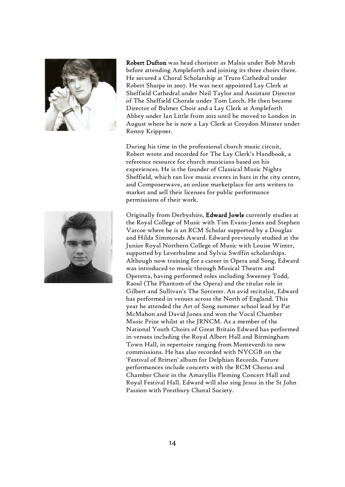

Robert Dufton was head chorister as Malsis under Bob Marsh before attending Ampleforth and joining its three choirs there. He secured a Choral Scholarship at Truro Cathedral under Robert Sharpe in 2007. He was next appointed Lay Clerk at Sheffield Cathedral under Neil Taylor and Assistant Director of The Sheffield Chorale under Tom Leech. He then became Director of Bulmer Choir and a Lay Clerk at Ampleforth Abbey under Ian Little from 2012 until he moved to London in August where he is now a Lay Clerk at Croydon Minster under Ronny Krippner.

During his time in the professional church music circuit, Robert wrote and recorded for The Lay Clerk's Handbook, a reference resource for church musicians based on his experiences. He is the founder of Classical Music Nights Sheffield, which ran live music events in bars in the city centre, and Composerwave, an online marketplace for arts writers to market and sell their licenses for public performance permissions of their work.



Originally from Derbyshire, Edward Jowle currently studies at the Royal College of Music with Tim Evans-Jones and Stephen Varcoe where he is an RCM Scholar supported by a Douglas and Hilda Simmonds Award. Edward previously studied at the Junior Royal Northern College of Music with Louise Winter, supported by Leverhulme and Sylvia Swiffin scholarships. Although now training for a career in Opera and Song, Edward was introduced to music through Musical Theatre and Operetta, having performed roles including Sweeney Todd, Raoul (The Phantom of the Opera) and the titular role in Gilbert and Sullivan's The Sorcerer. An avid recitalist, Edward has performed in venues across the North of England. This year he attended the Art of Song summer school lead by Pat McMahon and David Jones and won the Vocal Chamber Music Prize whilst at the JRNCM. As a member of the National Youth Choirs of Great Britain Edward has performed in venues including the Royal Albert Hall and Birmingham Town Hall, in repertoire ranging from Monteverdi to new commissions. He has also recorded with NYCGB on the 'Festival of Britten' album for Delphian Records. Future performances include concerts with the RCM Chorus and Chamber Choir in the Amaryllis Fleming Concert Hall and Royal Festival Hall. Edward will also sing Jesus in the St John Passion with Prestbury Choral Society.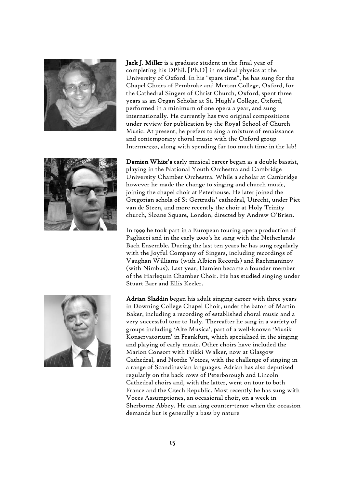



Jack J. Miller is a graduate student in the final year of completing his DPhil. [Ph.D] in medical physics at the University of Oxford. In his "spare time", he has sung for the Chapel Choirs of Pembroke and Merton College, Oxford, for the Cathedral Singers of Christ Church, Oxford, spent three years as an Organ Scholar at St. Hugh's College, Oxford, performed in a minimum of one opera a year, and sung internationally. He currently has two original compositions under review for publication by the Royal School of Church Music. At present, he prefers to sing a mixture of renaissance and contemporary choral music with the Oxford group Intermezzo, along with spending far too much time in the lab!

Damien White's early musical career began as a double bassist, playing in the National Youth Orchestra and Cambridge University Chamber Orchestra. While a scholar at Cambridge however he made the change to singing and church music, joining the chapel choir at Peterhouse. He later joined the Gregorian schola of St Gertrudis' cathedral, Utrecht, under Piet van de Steen, and more recently the choir at Holy Trinity church, Sloane Square, London, directed by Andrew O'Brien.

In 1999 he took part in a European touring opera production of Pagliacci and in the early 2000's he sang with the Netherlands Bach Ensemble. During the last ten years he has sung regularly with the Joyful Company of Singers, including recordings of Vaughan Williams (with Albion Records) and Rachmaninov (with Nimbus). Last year, Damien became a founder member of the Harlequin Chamber Choir. He has studied singing under Stuart Barr and Ellis Keeler.



Adrian Sladdin began his adult singing career with three years in Downing College Chapel Choir, under the baton of Martin Baker, including a recording of established choral music and a very successful tour to Italy. Thereafter he sang in a variety of groups including 'Alte Musica', part of a well-known 'Musik Konservatorium' in Frankfurt, which specialised in the singing and playing of early music. Other choirs have included the Marion Consort with Frikki Walker, now at Glasgow Cathedral, and Nordic Voices, with the challenge of singing in a range of Scandinavian languages. Adrian has also deputised regularly on the back rows of Peterborough and Lincoln Cathedral choirs and, with the latter, went on tour to both France and the Czech Republic. Most recently he has sung with Voces Assumptiones, an occasional choir, on a week in Sherborne Abbey. He can sing counter-tenor when the occasion demands but is generally a bass by nature